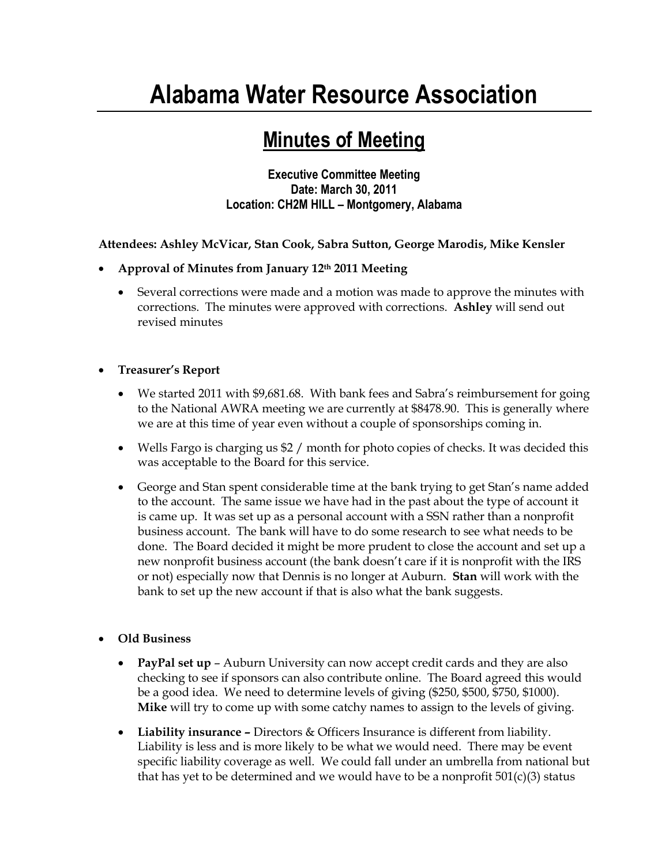## **Alabama Water Resource Association**

## **Minutes of Meeting**

**Executive Committee Meeting Date: March 30, 2011 Location: CH2M HILL – Montgomery, Alabama**

**Attendees: Ashley McVicar, Stan Cook, Sabra Sutton, George Marodis, Mike Kensler**

- **Approval of Minutes from January 12th 2011 Meeting**
	- Several corrections were made and a motion was made to approve the minutes with corrections. The minutes were approved with corrections. **Ashley** will send out revised minutes
- **Treasurer's Report**
	- We started 2011 with \$9,681.68. With bank fees and Sabra's reimbursement for going to the National AWRA meeting we are currently at \$8478.90. This is generally where we are at this time of year even without a couple of sponsorships coming in.
	- Wells Fargo is charging us \$2 / month for photo copies of checks. It was decided this was acceptable to the Board for this service.
	- George and Stan spent considerable time at the bank trying to get Stan's name added to the account. The same issue we have had in the past about the type of account it is came up. It was set up as a personal account with a SSN rather than a nonprofit business account. The bank will have to do some research to see what needs to be done. The Board decided it might be more prudent to close the account and set up a new nonprofit business account (the bank doesn't care if it is nonprofit with the IRS or not) especially now that Dennis is no longer at Auburn. **Stan** will work with the bank to set up the new account if that is also what the bank suggests.
- **Old Business**
	- **PayPal set up** Auburn University can now accept credit cards and they are also checking to see if sponsors can also contribute online. The Board agreed this would be a good idea. We need to determine levels of giving (\$250, \$500, \$750, \$1000). **Mike** will try to come up with some catchy names to assign to the levels of giving.
	- **Liability insurance –** Directors & Officers Insurance is different from liability. Liability is less and is more likely to be what we would need. There may be event specific liability coverage as well. We could fall under an umbrella from national but that has yet to be determined and we would have to be a nonprofit  $501(c)(3)$  status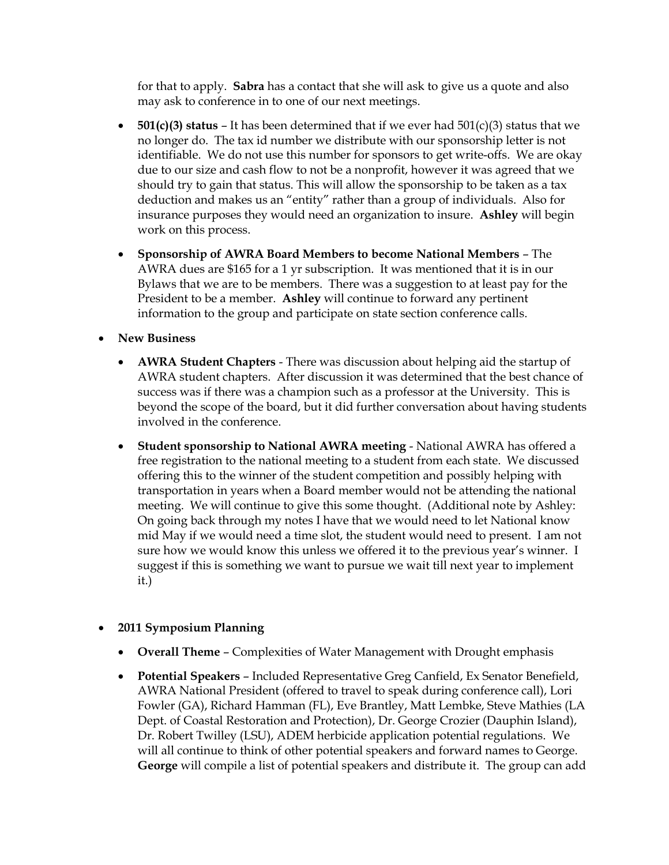for that to apply. **Sabra** has a contact that she will ask to give us a quote and also may ask to conference in to one of our next meetings.

- **501(c)(3) status** It has been determined that if we ever had 501(c)(3) status that we no longer do. The tax id number we distribute with our sponsorship letter is not identifiable. We do not use this number for sponsors to get write-offs. We are okay due to our size and cash flow to not be a nonprofit, however it was agreed that we should try to gain that status. This will allow the sponsorship to be taken as a tax deduction and makes us an "entity" rather than a group of individuals. Also for insurance purposes they would need an organization to insure. **Ashley** will begin work on this process.
- **Sponsorship of AWRA Board Members to become National Members**  The AWRA dues are \$165 for a 1 yr subscription. It was mentioned that it is in our Bylaws that we are to be members. There was a suggestion to at least pay for the President to be a member. **Ashley** will continue to forward any pertinent information to the group and participate on state section conference calls.
- **New Business**
	- **AWRA Student Chapters** There was discussion about helping aid the startup of AWRA student chapters. After discussion it was determined that the best chance of success was if there was a champion such as a professor at the University. This is beyond the scope of the board, but it did further conversation about having students involved in the conference.
	- **Student sponsorship to National AWRA meeting** National AWRA has offered a free registration to the national meeting to a student from each state. We discussed offering this to the winner of the student competition and possibly helping with transportation in years when a Board member would not be attending the national meeting. We will continue to give this some thought. (Additional note by Ashley: On going back through my notes I have that we would need to let National know mid May if we would need a time slot, the student would need to present. I am not sure how we would know this unless we offered it to the previous year's winner. I suggest if this is something we want to pursue we wait till next year to implement it.)

## **2011 Symposium Planning**

- **Overall Theme** Complexities of Water Management with Drought emphasis
- **Potential Speakers** Included Representative Greg Canfield, Ex Senator Benefield, AWRA National President (offered to travel to speak during conference call), Lori Fowler (GA), Richard Hamman (FL), Eve Brantley, Matt Lembke, Steve Mathies (LA Dept. of Coastal Restoration and Protection), Dr. George Crozier (Dauphin Island), Dr. Robert Twilley (LSU), ADEM herbicide application potential regulations. We will all continue to think of other potential speakers and forward names to George. **George** will compile a list of potential speakers and distribute it. The group can add